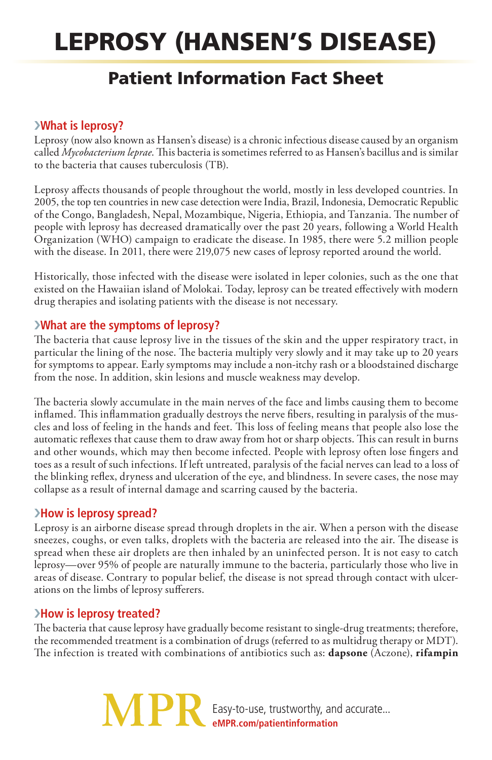# Leprosy (Hansen's disease)

# Patient Information Fact Sheet

## ›**What is leprosy?**

Leprosy (now also known as Hansen's disease) is a chronic infectious disease caused by an organism called *Mycobacterium leprae*. This bacteria is sometimes referred to as Hansen's bacillus and is similar to the bacteria that causes tuberculosis (TB).

Leprosy affects thousands of people throughout the world, mostly in less developed countries. In 2005, the top ten countries in new case detection were India, Brazil, Indonesia, Democratic Republic of the Congo, Bangladesh, Nepal, Mozambique, Nigeria, Ethiopia, and Tanzania. The number of people with leprosy has decreased dramatically over the past 20 years, following a World Health Organization (WHO) campaign to eradicate the disease. In 1985, there were 5.2 million people with the disease. In 2011, there were 219,075 new cases of leprosy reported around the world.

Historically, those infected with the disease were isolated in leper colonies, such as the one that existed on the Hawaiian island of Molokai. Today, leprosy can be treated effectively with modern drug therapies and isolating patients with the disease is not necessary.

### ›**What are the symptoms of leprosy?**

The bacteria that cause leprosy live in the tissues of the skin and the upper respiratory tract, in particular the lining of the nose. The bacteria multiply very slowly and it may take up to 20 years for symptoms to appear. Early symptoms may include a non-itchy rash or a bloodstained discharge from the nose. In addition, skin lesions and muscle weakness may develop.

The bacteria slowly accumulate in the main nerves of the face and limbs causing them to become inflamed. This inflammation gradually destroys the nerve fibers, resulting in paralysis of the muscles and loss of feeling in the hands and feet. This loss of feeling means that people also lose the automatic reflexes that cause them to draw away from hot or sharp objects. This can result in burns and other wounds, which may then become infected. People with leprosy often lose fingers and toes as a result of such infections. If left untreated, paralysis of the facial nerves can lead to a loss of the blinking reflex, dryness and ulceration of the eye, and blindness. In severe cases, the nose may collapse as a result of internal damage and scarring caused by the bacteria.

#### ›**How is leprosy spread?**

Leprosy is an airborne disease spread through droplets in the air. When a person with the disease sneezes, coughs, or even talks, droplets with the bacteria are released into the air. The disease is spread when these air droplets are then inhaled by an uninfected person. It is not easy to catch leprosy—over 95% of people are naturally immune to the bacteria, particularly those who live in areas of disease. Contrary to popular belief, the disease is not spread through contact with ulcerations on the limbs of leprosy sufferers.

### ›**How is leprosy treated?**

The bacteria that cause leprosy have gradually become resistant to single-drug treatments; therefore, the recommended treatment is a combination of drugs (referred to as multidrug therapy or MDT). The infection is treated with combinations of antibiotics such as: **dapsone** (Aczone), **rifampin**

> Easy-to-use, trustworthy, and accurate... **eMPR.com/patientinformation**